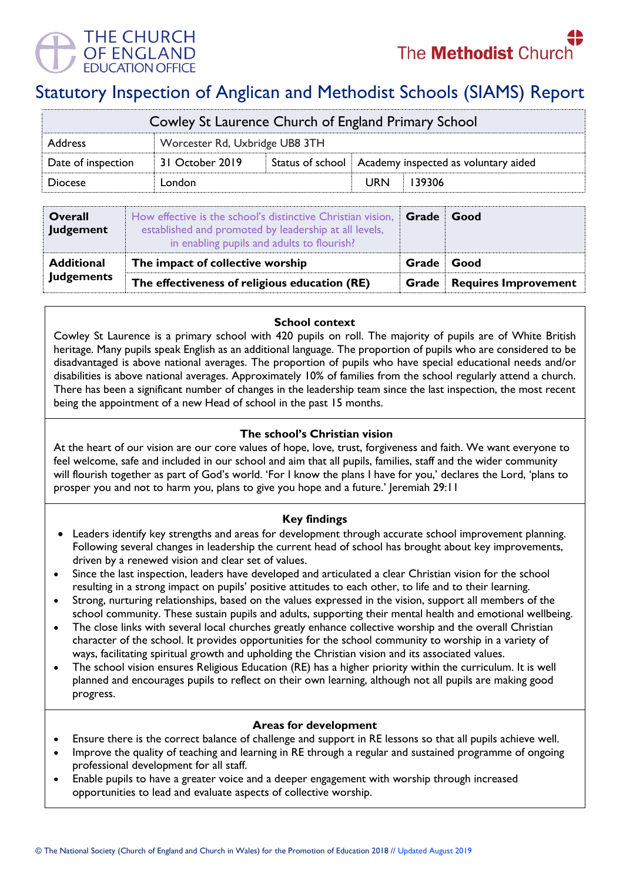

# Statutory Inspection of Anglican and Methodist Schools (SIAMS) Report

| Cowley St Laurence Church of England Primary School |                                |  |                                                         |        |  |  |
|-----------------------------------------------------|--------------------------------|--|---------------------------------------------------------|--------|--|--|
| <b>Address</b>                                      | Worcester Rd, Uxbridge UB8 3TH |  |                                                         |        |  |  |
| Date of inspection                                  | 31 October 2019                |  | Status of school   Academy inspected as voluntary aided |        |  |  |
| <b>Diocese</b>                                      | London                         |  | <b>URN</b>                                              | 139306 |  |  |

| Overall<br>Judgement | How effective is the school's distinctive Christian vision,<br>established and promoted by leadership at all levels,<br>in enabling pupils and adults to flourish? | Grade | Good                                        |
|----------------------|--------------------------------------------------------------------------------------------------------------------------------------------------------------------|-------|---------------------------------------------|
| <b>Additional</b>    | The impact of collective worship                                                                                                                                   | Grade | Good                                        |
| <b>Judgements</b>    | The effectiveness of religious education (RE)                                                                                                                      |       | <b>Requires Improvement</b><br><b>Grade</b> |

## **School context**

Cowley St Laurence is a primary school with 420 pupils on roll. The majority of pupils are of White British heritage. Many pupils speak English as an additional language. The proportion of pupils who are considered to be disadvantaged is above national averages. The proportion of pupils who have special educational needs and/or disabilities is above national averages. Approximately 10% of families from the school regularly attend a church. There has been a significant number of changes in the leadership team since the last inspection, the most recent being the appointment of a new Head of school in the past 15 months.

## **The school's Christian vision**

At the heart of our vision are our core values of hope, love, trust, forgiveness and faith. We want everyone to feel welcome, safe and included in our school and aim that all pupils, families, staff and the wider community will flourish together as part of God's world. 'For I know the plans I have for you,' declares the Lord, 'plans to prosper you and not to harm you, plans to give you hope and a future.' Jeremiah 29:11

## **Key findings**

- Leaders identify key strengths and areas for development through accurate school improvement planning. Following several changes in leadership the current head of school has brought about key improvements, driven by a renewed vision and clear set of values.
- Since the last inspection, leaders have developed and articulated a clear Christian vision for the school resulting in a strong impact on pupils' positive attitudes to each other, to life and to their learning.
- Strong, nurturing relationships, based on the values expressed in the vision, support all members of the school community. These sustain pupils and adults, supporting their mental health and emotional wellbeing.
- The close links with several local churches greatly enhance collective worship and the overall Christian character of the school. It provides opportunities for the school community to worship in a variety of ways, facilitating spiritual growth and upholding the Christian vision and its associated values.
- The school vision ensures Religious Education (RE) has a higher priority within the curriculum. It is well planned and encourages pupils to reflect on their own learning, although not all pupils are making good progress.

### **Areas for development**

- Ensure there is the correct balance of challenge and support in RE lessons so that all pupils achieve well.
- Improve the quality of teaching and learning in RE through a regular and sustained programme of ongoing professional development for all staff.
- Enable pupils to have a greater voice and a deeper engagement with worship through increased opportunities to lead and evaluate aspects of collective worship.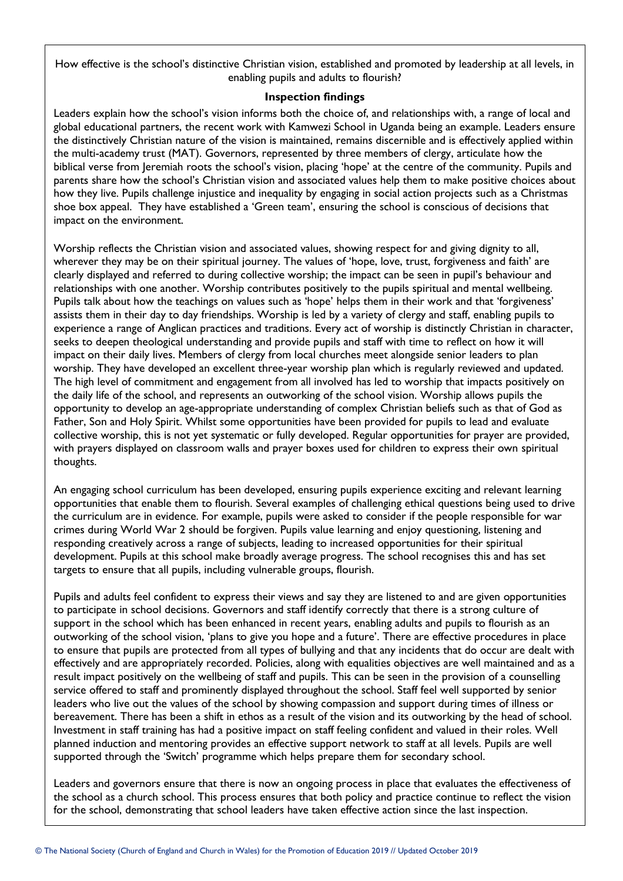How effective is the school's distinctive Christian vision, established and promoted by leadership at all levels, in enabling pupils and adults to flourish?

## **Inspection findings**

Leaders explain how the school's vision informs both the choice of, and relationships with, a range of local and global educational partners, the recent work with Kamwezi School in Uganda being an example. Leaders ensure the distinctively Christian nature of the vision is maintained, remains discernible and is effectively applied within the multi-academy trust (MAT). Governors, represented by three members of clergy, articulate how the biblical verse from Jeremiah roots the school's vision, placing 'hope' at the centre of the community. Pupils and parents share how the school's Christian vision and associated values help them to make positive choices about how they live. Pupils challenge injustice and inequality by engaging in social action projects such as a Christmas shoe box appeal. They have established a 'Green team', ensuring the school is conscious of decisions that impact on the environment.

Worship reflects the Christian vision and associated values, showing respect for and giving dignity to all, wherever they may be on their spiritual journey. The values of 'hope, love, trust, forgiveness and faith' are clearly displayed and referred to during collective worship; the impact can be seen in pupil's behaviour and relationships with one another. Worship contributes positively to the pupils spiritual and mental wellbeing. Pupils talk about how the teachings on values such as 'hope' helps them in their work and that 'forgiveness' assists them in their day to day friendships. Worship is led by a variety of clergy and staff, enabling pupils to experience a range of Anglican practices and traditions. Every act of worship is distinctly Christian in character, seeks to deepen theological understanding and provide pupils and staff with time to reflect on how it will impact on their daily lives. Members of clergy from local churches meet alongside senior leaders to plan worship. They have developed an excellent three-year worship plan which is regularly reviewed and updated. The high level of commitment and engagement from all involved has led to worship that impacts positively on the daily life of the school, and represents an outworking of the school vision. Worship allows pupils the opportunity to develop an age-appropriate understanding of complex Christian beliefs such as that of God as Father, Son and Holy Spirit. Whilst some opportunities have been provided for pupils to lead and evaluate collective worship, this is not yet systematic or fully developed. Regular opportunities for prayer are provided, with prayers displayed on classroom walls and prayer boxes used for children to express their own spiritual thoughts.

An engaging school curriculum has been developed, ensuring pupils experience exciting and relevant learning opportunities that enable them to flourish. Several examples of challenging ethical questions being used to drive the curriculum are in evidence. For example, pupils were asked to consider if the people responsible for war crimes during World War 2 should be forgiven. Pupils value learning and enjoy questioning, listening and responding creatively across a range of subjects, leading to increased opportunities for their spiritual development. Pupils at this school make broadly average progress. The school recognises this and has set targets to ensure that all pupils, including vulnerable groups, flourish.

Pupils and adults feel confident to express their views and say they are listened to and are given opportunities to participate in school decisions. Governors and staff identify correctly that there is a strong culture of support in the school which has been enhanced in recent years, enabling adults and pupils to flourish as an outworking of the school vision, 'plans to give you hope and a future'. There are effective procedures in place to ensure that pupils are protected from all types of bullying and that any incidents that do occur are dealt with effectively and are appropriately recorded. Policies, along with equalities objectives are well maintained and as a result impact positively on the wellbeing of staff and pupils. This can be seen in the provision of a counselling service offered to staff and prominently displayed throughout the school. Staff feel well supported by senior leaders who live out the values of the school by showing compassion and support during times of illness or bereavement. There has been a shift in ethos as a result of the vision and its outworking by the head of school. Investment in staff training has had a positive impact on staff feeling confident and valued in their roles. Well planned induction and mentoring provides an effective support network to staff at all levels. Pupils are well supported through the 'Switch' programme which helps prepare them for secondary school.

Leaders and governors ensure that there is now an ongoing process in place that evaluates the effectiveness of the school as a church school. This process ensures that both policy and practice continue to reflect the vision for the school, demonstrating that school leaders have taken effective action since the last inspection.